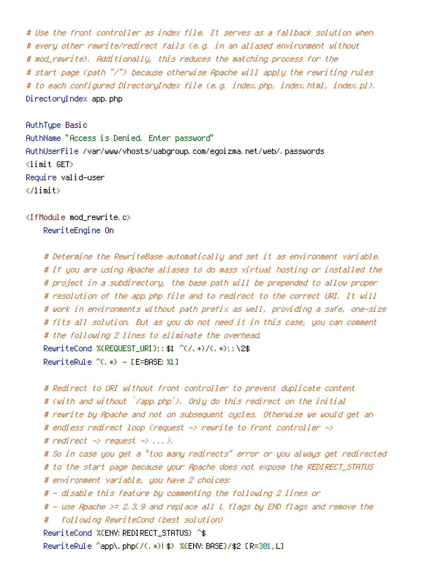# Use the front controller as index file. It serves as <sup>a</sup> fallback solution when # every other rewrite/redirect fails (e.g. in an aliased environment without # mod\_rewrite). Additionally, this reduces the matching process for the # start page (path "/") because otherwise Apache will apply the rewriting rules # to each configured DirectoryIndex file (e.g. index.php, index.html, index.pl). DirectoryIndex app.php

AuthType Basic AuthName "Access is Denied. Enter password" AuthUserFile /var/www/vhosts/uabgroup.com/egoizma.net/web/.passwords <limit GET> Require valid-user </limit>

<IfModule mod\_rewrite.c>

RewriteEngine On

# Determine the RewriteBase automatically and set it as environment variable. # If you are using Apache aliases to do mass virtual hosting or installed the # project in <sup>a</sup> subdirectory, the base path will be prepended to allow proper # resolution of the app.php file and to redirect to the correct URI. It will # work in environments without path prefix as well, providing <sup>a</sup> safe, one-size # fits all solution. But as you do not need it in this case, you can comment # the following 2 lines to eliminate the overhead. RewriteCond %(REQUEST URI}::\$1 ^(/.+)/(.\*)::\2\$  $RemiteRulle (6,*) - IFERASE: %11$ 

```
# Redirect to URI without front controller to prevent duplicate content
# (with and without `/app.php`). Only do this redirect on the initial
# rewrite by Apache and not on subsequent cycles. Otherwise we would get an
# endless redirect loop (request -> rewrite to front controller ->
# redirect \rightarrow request \rightarrow \dots \rightarrow.
# So in case you get a "too many redirects" error or you always get redirected
# to the start page because your Apache does not expose the REDIRECT_STATUS
# environment variable, you have 2 choices:
# - disable this feature by commenting the following 2 lines or
# - use Apache >= 2.3.9 and replace all L flags by END flags and remove the
# following RewriteCond (best solution)
RewriteCond %{ENV:REDIRECT_STATUS} ^$
RewriteRule ^app\.php(/(.*)|$) %{ENV:BASE}/$2 [R=301,L]
```